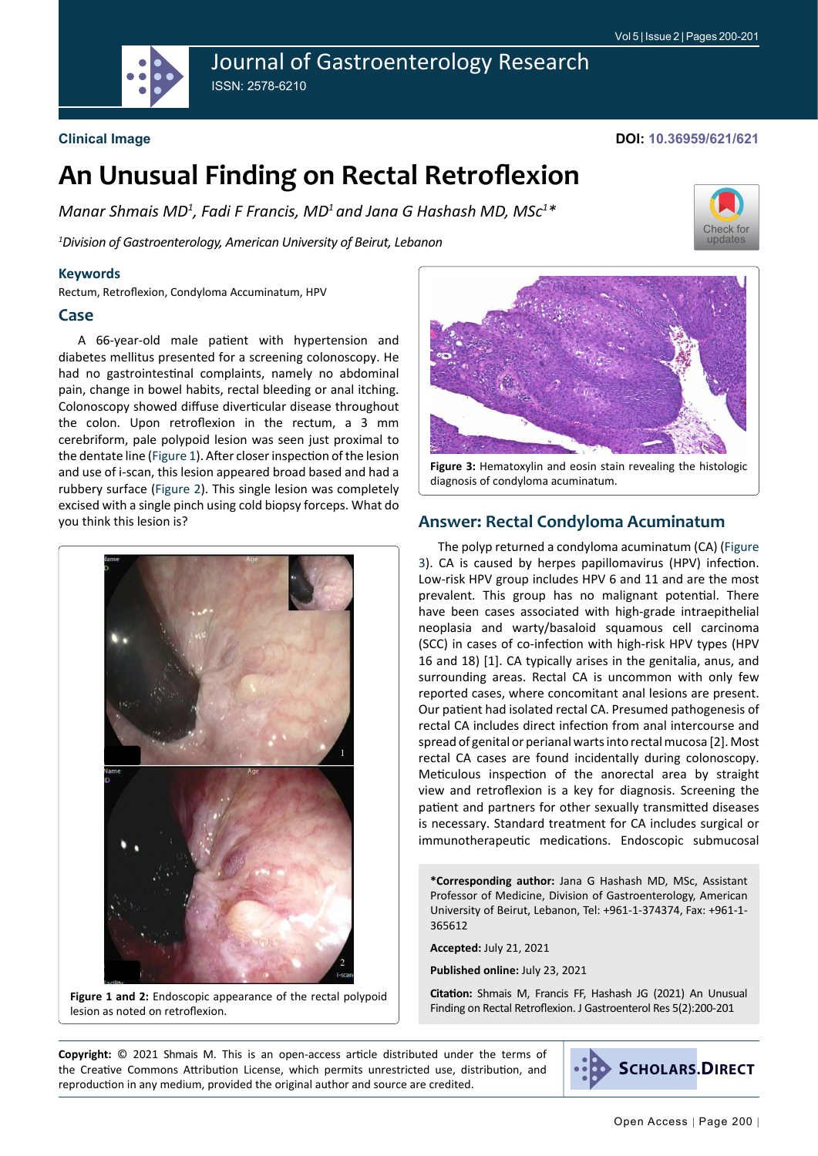

# Journal of Gastroenterology Research ISSN: 2578-6210

#### **Clinical Image**

#### **DOI: 10.36959/621/621**

# **An Unusual Finding on Rectal Retroflexion**

*Manar Shmais MD1 , Fadi F Francis, MD1 and Jana G Hashash MD, MSc1 \**

*1 Division of Gastroenterology, American University of Beirut, Lebanon*

#### **Keywords**

Rectum, Retroflexion, Condyloma Accuminatum, HPV

#### **Case**

A 66-year-old male patient with hypertension and diabetes mellitus presented for a screening colonoscopy. He had no gastrointestinal complaints, namely no abdominal pain, change in bowel habits, rectal bleeding or anal itching. Colonoscopy showed diffuse diverticular disease throughout the colon. Upon retroflexion in the rectum, a 3 mm cerebriform, pale polypoid lesion was seen just proximal to the dentate line ([Figure 1\)](#page-0-0). After closer inspection of the lesion and use of i-scan, this lesion appeared broad based and had a rubbery surface [\(Figure 2](#page-0-0)). This single lesion was completely excised with a single pinch using cold biopsy forceps. What do you think this lesion is?

<span id="page-0-0"></span>

**Figure 1 and 2:** Endoscopic appearance of the rectal polypoid lesion as noted on retroflexion.



**Figure 3:** Hematoxylin and eosin stain revealing the histologic diagnosis of condyloma acuminatum.

## **Answer: Rectal Condyloma Acuminatum**

The polyp returned a condyloma acuminatum (CA) [\(Figure](#page-0-1)  [3\)](#page-0-1). CA is caused by herpes papillomavirus (HPV) infection. Low-risk HPV group includes HPV 6 and 11 and are the most prevalent. This group has no malignant potential. There have been cases associated with high-grade intraepithelial neoplasia and warty/basaloid squamous cell carcinoma (SCC) in cases of co-infection with high-risk HPV types (HPV 16 and 18) [1]. CA typically arises in the genitalia, anus, and surrounding areas. Rectal CA is uncommon with only few reported cases, where concomitant anal lesions are present. Our patient had isolated rectal CA. Presumed pathogenesis of rectal CA includes direct infection from anal intercourse and spread of genital or perianal warts into rectal mucosa [2]. Most rectal CA cases are found incidentally during colonoscopy. Meticulous inspection of the anorectal area by straight view and retroflexion is a key for diagnosis. Screening the patient and partners for other sexually transmitted diseases is necessary. Standard treatment for CA includes surgical or immunotherapeutic medications. Endoscopic submucosal

**\*Corresponding author:** Jana G Hashash MD, MSc, Assistant Professor of Medicine, Division of Gastroenterology, American University of Beirut, Lebanon, Tel: +961-1-374374, Fax: +961-1- 365612

**Accepted:** July 21, 2021

**Published online:** July 23, 2021

**Citation:** Shmais M, Francis FF, Hashash JG (2021) An Unusual Finding on Rectal Retroflexion. J Gastroenterol Res 5(2):200-201

**Copyright:** © 2021 Shmais M. This is an open-access article distributed under the terms of the Creative Commons Attribution License, which permits unrestricted use, distribution, and reproduction in any medium, provided the original author and source are credited.



<span id="page-0-1"></span>[Check for](http://crossmark.crossref.org/dialog/?doi=10.36959/621/621&domain=pdf) updates